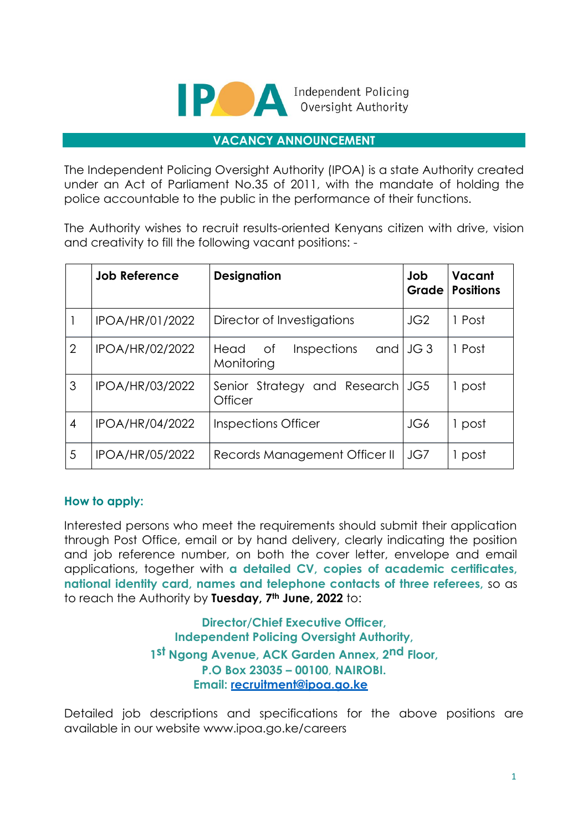

Independent Policing Oversight Authority

#### **VACANCY ANNOUNCEMENT**

The Independent Policing Oversight Authority (IPOA) is a state Authority created under an Act of Parliament No.35 of 2011, with the mandate of holding the police accountable to the public in the performance of their functions.

The Authority wishes to recruit results-oriented Kenyans citizen with drive, vision and creativity to fill the following vacant positions: -

|                | <b>Job Reference</b>   | <b>Designation</b>                          | Job<br>Grade    | Vacant<br><b>Positions</b> |
|----------------|------------------------|---------------------------------------------|-----------------|----------------------------|
|                | IPOA/HR/01/2022        | Director of Investigations                  | JG <sub>2</sub> | 1 Post                     |
| $\overline{2}$ | IPOA/HR/02/2022        | Head of<br><b>Inspections</b><br>Monitoring | and $JG$ 3      | 1 Post                     |
| 3              | IPOA/HR/03/2022        | Senior Strategy and Research<br>Officer     | JG5             | 1 post                     |
| 4              | <b>IPOA/HR/04/2022</b> | Inspections Officer                         | JG6             | 1 post                     |
| 5              | <b>IPOA/HR/05/2022</b> | Records Management Officer II               | JG7             | 1 post                     |

## **How to apply:**

Interested persons who meet the requirements should submit their application through Post Office, email or by hand delivery, clearly indicating the position and job reference number, on both the cover letter, envelope and email applications, together with **a detailed CV, copies of academic certificates, national identity card, names and telephone contacts of three referees,** so as to reach the Authority by **Tuesday, 7th June, 2022** to:

> **Director/Chief Executive Officer, Independent Policing Oversight Authority, 1st Ngong Avenue, ACK Garden Annex, 2nd Floor, P.O Box 23035 – 00100**, **NAIROBI. Email: recruitment@ipoa.go.ke**

Detailed job descriptions and specifications for the above positions are available in our website www.ipoa.go.ke/careers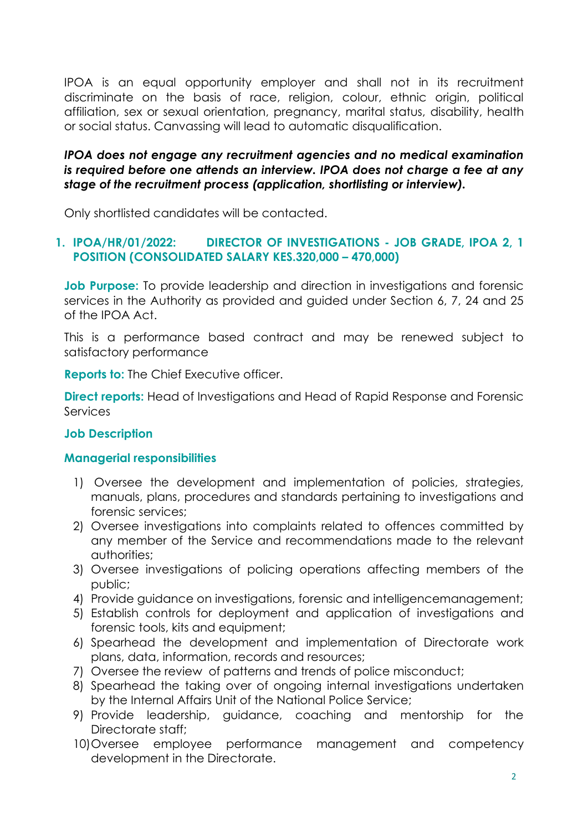IPOA is an equal opportunity employer and shall not in its recruitment discriminate on the basis of race, religion, colour, ethnic origin, political affiliation, sex or sexual orientation, pregnancy, marital status, disability, health or social status. Canvassing will lead to automatic disqualification.

## *IPOA does not engage any recruitment agencies and no medical examination is required before one attends an interview. IPOA does not charge a fee at any stage of the recruitment process (application, shortlisting or interview).*

Only shortlisted candidates will be contacted.

# **1. IPOA/HR/01/2022: DIRECTOR OF INVESTIGATIONS - JOB GRADE, IPOA 2, 1 POSITION (CONSOLIDATED SALARY KES.320,000 – 470,000)**

**Job Purpose:** To provide leadership and direction in investigations and forensic services in the Authority as provided and guided under Section 6, 7, 24 and 25 of the IPOA Act.

This is a performance based contract and may be renewed subject to satisfactory performance

**Reports to:** The Chief Executive officer.

**Direct reports:** Head of Investigations and Head of Rapid Response and Forensic **Services** 

## **Job Description**

## **Managerial responsibilities**

- 1) Oversee the development and implementation of policies, strategies, manuals, plans, procedures and standards pertaining to investigations and forensic services;
- 2) Oversee investigations into complaints related to offences committed by any member of the Service and recommendations made to the relevant authorities;
- 3) Oversee investigations of policing operations affecting members of the public;
- 4) Provide guidance on investigations, forensic and intelligencemanagement;
- 5) Establish controls for deployment and application of investigations and forensic tools, kits and equipment;
- 6) Spearhead the development and implementation of Directorate work plans, data, information, records and resources;
- 7) Oversee the review of patterns and trends of police misconduct;
- 8) Spearhead the taking over of ongoing internal investigations undertaken by the Internal Affairs Unit of the National Police Service;
- 9) Provide leadership, guidance, coaching and mentorship for the Directorate staff;
- 10)Oversee employee performance management and competency development in the Directorate.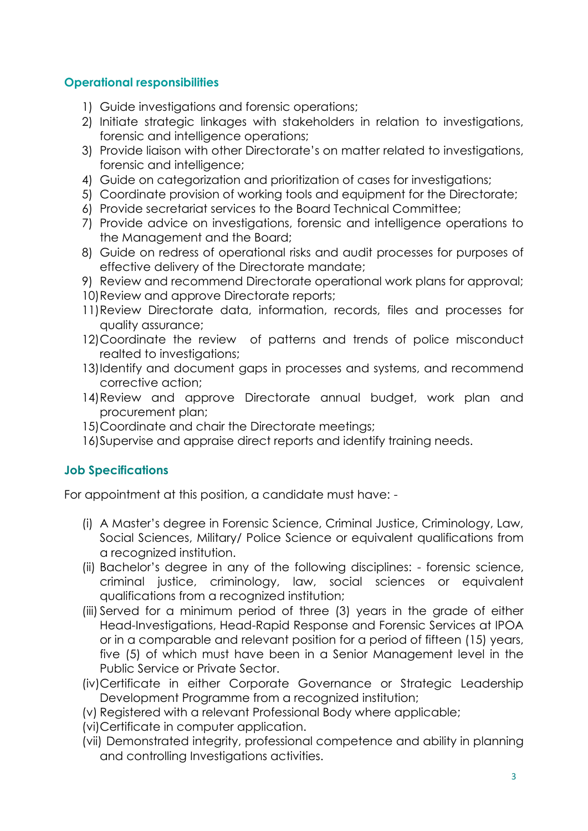## **Operational responsibilities**

- 1) Guide investigations and forensic operations;
- 2) Initiate strategic linkages with stakeholders in relation to investigations, forensic and intelligence operations;
- 3) Provide liaison with other Directorate's on matter related to investigations, forensic and intelligence;
- 4) Guide on categorization and prioritization of cases for investigations;
- 5) Coordinate provision of working tools and equipment for the Directorate;
- 6) Provide secretariat services to the Board Technical Committee;
- 7) Provide advice on investigations, forensic and intelligence operations to the Management and the Board;
- 8) Guide on redress of operational risks and audit processes for purposes of effective delivery of the Directorate mandate;
- 9) Review and recommend Directorate operational work plans for approval;
- 10)Review and approve Directorate reports;
- 11)Review Directorate data, information, records, files and processes for quality assurance;
- 12)Coordinate the review of patterns and trends of police misconduct realted to investigations;
- 13)Identify and document gaps in processes and systems, and recommend corrective action;
- 14)Review and approve Directorate annual budget, work plan and procurement plan;
- 15)Coordinate and chair the Directorate meetings;
- 16)Supervise and appraise direct reports and identify training needs.

# **Job Specifications**

For appointment at this position, a candidate must have: -

- (i) A Master's degree in Forensic Science, Criminal Justice, Criminology, Law, Social Sciences, Military/ Police Science or equivalent qualifications from a recognized institution.
- (ii) Bachelor's degree in any of the following disciplines: forensic science, criminal justice, criminology, law, social sciences or equivalent qualifications from a recognized institution;
- (iii) Served for a minimum period of three (3) years in the grade of either Head-Investigations, Head-Rapid Response and Forensic Services at IPOA or in a comparable and relevant position for a period of fifteen (15) years, five (5) of which must have been in a Senior Management level in the Public Service or Private Sector.
- (iv)Certificate in either Corporate Governance or Strategic Leadership Development Programme from a recognized institution;
- (v) Registered with a relevant Professional Body where applicable;
- (vi)Certificate in computer application.
- (vii) Demonstrated integrity, professional competence and ability in planning and controlling Investigations activities.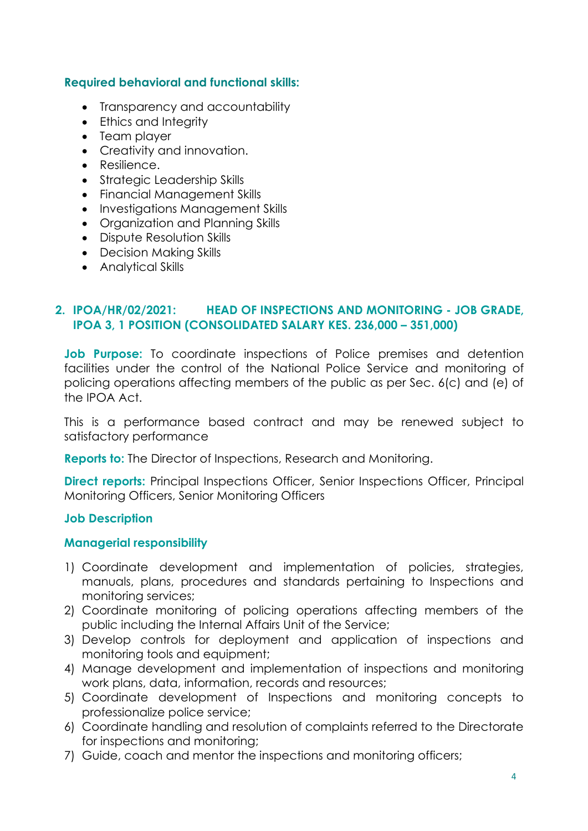## **Required behavioral and functional skills:**

- Transparency and accountability
- Ethics and Integrity
- Team player
- Creativity and innovation.
- Resilience.
- Strategic Leadership Skills
- Financial Management Skills
- Investigations Management Skills
- Organization and Planning Skills
- Dispute Resolution Skills
- Decision Making Skills
- Analytical Skills

# **2. IPOA/HR/02/2021: HEAD OF INSPECTIONS AND MONITORING - JOB GRADE, IPOA 3, 1 POSITION (CONSOLIDATED SALARY KES. 236,000 – 351,000)**

**Job Purpose:** To coordinate inspections of Police premises and detention facilities under the control of the National Police Service and monitoring of policing operations affecting members of the public as per Sec. 6(c) and (e) of the IPOA Act.

This is a performance based contract and may be renewed subject to satisfactory performance

**Reports to:** The Director of Inspections, Research and Monitoring.

**Direct reports:** Principal Inspections Officer, Senior Inspections Officer, Principal Monitoring Officers, Senior Monitoring Officers

## **Job Description**

## **Managerial responsibility**

- 1) Coordinate development and implementation of policies, strategies, manuals, plans, procedures and standards pertaining to Inspections and monitoring services;
- 2) Coordinate monitoring of policing operations affecting members of the public including the Internal Affairs Unit of the Service;
- 3) Develop controls for deployment and application of inspections and monitoring tools and equipment;
- 4) Manage development and implementation of inspections and monitoring work plans, data, information, records and resources;
- 5) Coordinate development of Inspections and monitoring concepts to professionalize police service;
- 6) Coordinate handling and resolution of complaints referred to the Directorate for inspections and monitoring;
- 7) Guide, coach and mentor the inspections and monitoring officers;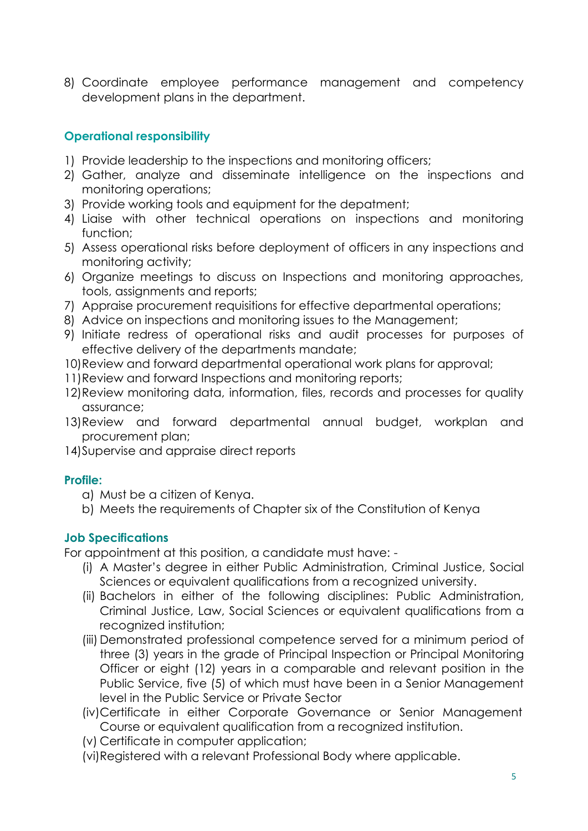8) Coordinate employee performance management and competency development plans in the department.

# **Operational responsibility**

- 1) Provide leadership to the inspections and monitoring officers;
- 2) Gather, analyze and disseminate intelligence on the inspections and monitoring operations;
- 3) Provide working tools and equipment for the depatment;
- 4) Liaise with other technical operations on inspections and monitoring function;
- 5) Assess operational risks before deployment of officers in any inspections and monitoring activity;
- 6) Organize meetings to discuss on Inspections and monitoring approaches, tools, assignments and reports;
- 7) Appraise procurement requisitions for effective departmental operations;
- 8) Advice on inspections and monitoring issues to the Management;
- 9) Initiate redress of operational risks and audit processes for purposes of effective delivery of the departments mandate;
- 10)Review and forward departmental operational work plans for approval;
- 11)Review and forward Inspections and monitoring reports;
- 12)Review monitoring data, information, files, records and processes for quality assurance;
- 13)Review and forward departmental annual budget, workplan and procurement plan;
- 14)Supervise and appraise direct reports

# **Profile:**

- a) Must be a citizen of Kenya.
- b) Meets the requirements of Chapter six of the Constitution of Kenya

# **Job Specifications**

For appointment at this position, a candidate must have: -

- (i) A Master's degree in either Public Administration, Criminal Justice, Social Sciences or equivalent qualifications from a recognized university.
- (ii) Bachelors in either of the following disciplines: Public Administration, Criminal Justice, Law, Social Sciences or equivalent qualifications from a recognized institution;
- (iii) Demonstrated professional competence served for a minimum period of three (3) years in the grade of Principal Inspection or Principal Monitoring Officer or eight (12) years in a comparable and relevant position in the Public Service, five (5) of which must have been in a Senior Management level in the Public Service or Private Sector
- (iv)Certificate in either Corporate Governance or Senior Management Course or equivalent qualification from a recognized institution.
- (v) Certificate in computer application;
- (vi)Registered with a relevant Professional Body where applicable.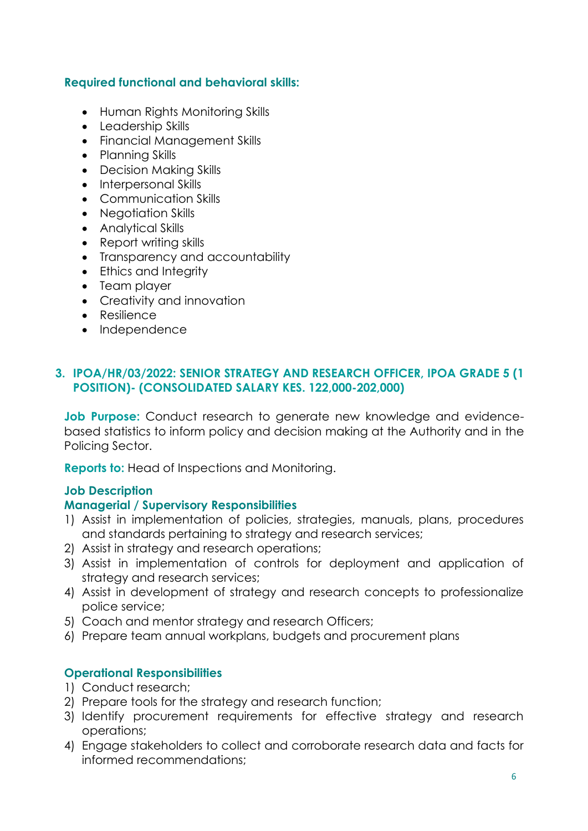## **Required functional and behavioral skills:**

- Human Rights Monitoring Skills
- Leadership Skills
- Financial Management Skills
- Planning Skills
- Decision Making Skills
- Interpersonal Skills
- Communication Skills
- Negotiation Skills
- Analytical Skills
- Report writing skills
- Transparency and accountability
- Ethics and Integrity
- Team player
- Creativity and innovation
- Resilience
- Independence

## **3. IPOA/HR/03/2022: SENIOR STRATEGY AND RESEARCH OFFICER, IPOA GRADE 5 (1 POSITION)- (CONSOLIDATED SALARY KES. 122,000-202,000)**

**Job Purpose:** Conduct research to generate new knowledge and evidencebased statistics to inform policy and decision making at the Authority and in the Policing Sector.

**Reports to:** Head of Inspections and Monitoring.

#### **Job Description**

#### **Managerial / Supervisory Responsibilities**

- 1) Assist in implementation of policies, strategies, manuals, plans, procedures and standards pertaining to strategy and research services;
- 2) Assist in strategy and research operations;
- 3) Assist in implementation of controls for deployment and application of strategy and research services;
- 4) Assist in development of strategy and research concepts to professionalize police service;
- 5) Coach and mentor strategy and research Officers;
- 6) Prepare team annual workplans, budgets and procurement plans

## **Operational Responsibilities**

- 1) Conduct research;
- 2) Prepare tools for the strategy and research function;
- 3) Identify procurement requirements for effective strategy and research operations;
- 4) Engage stakeholders to collect and corroborate research data and facts for informed recommendations;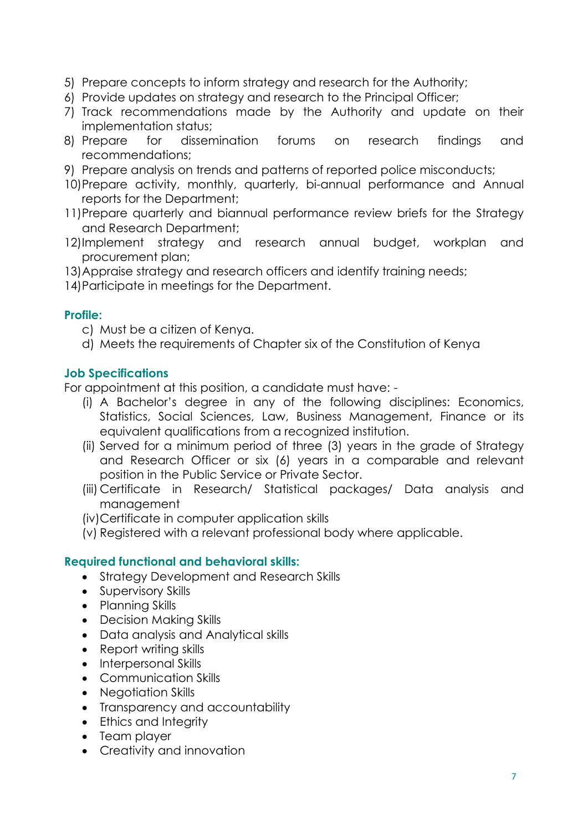- 5) Prepare concepts to inform strategy and research for the Authority;
- 6) Provide updates on strategy and research to the Principal Officer;
- 7) Track recommendations made by the Authority and update on their implementation status;
- 8) Prepare for dissemination forums on research findings and recommendations;
- 9) Prepare analysis on trends and patterns of reported police misconducts;
- 10)Prepare activity, monthly, quarterly, bi-annual performance and Annual reports for the Department;
- 11)Prepare quarterly and biannual performance review briefs for the Strategy and Research Department;
- 12)Implement strategy and research annual budget, workplan and procurement plan;
- 13)Appraise strategy and research officers and identify training needs;
- 14)Participate in meetings for the Department.

## **Profile:**

- c) Must be a citizen of Kenya.
- d) Meets the requirements of Chapter six of the Constitution of Kenya

# **Job Specifications**

For appointment at this position, a candidate must have: -

- (i) A Bachelor's degree in any of the following disciplines: Economics, Statistics, Social Sciences, Law, Business Management, Finance or its equivalent qualifications from a recognized institution.
- (ii) Served for a minimum period of three (3) years in the grade of Strategy and Research Officer or six (6) years in a comparable and relevant position in the Public Service or Private Sector.
- (iii) Certificate in Research/ Statistical packages/ Data analysis and management
- (iv)Certificate in computer application skills
- (v) Registered with a relevant professional body where applicable.

# **Required functional and behavioral skills:**

- Strategy Development and Research Skills
- Supervisory Skills
- Planning Skills
- Decision Making Skills
- Data analysis and Analytical skills
- Report writing skills
- Interpersonal Skills
- Communication Skills
- Negotiation Skills
- Transparency and accountability
- Ethics and Integrity
- Team player
- Creativity and innovation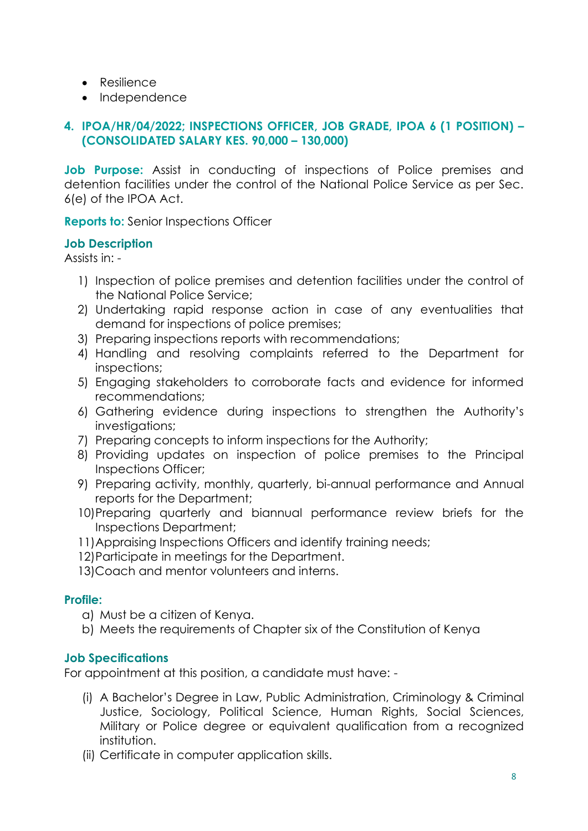- Resilience
- Independence

# **4. IPOA/HR/04/2022; INSPECTIONS OFFICER, JOB GRADE, IPOA 6 (1 POSITION) – (CONSOLIDATED SALARY KES. 90,000 – 130,000)**

**Job Purpose:** Assist in conducting of inspections of Police premises and detention facilities under the control of the National Police Service as per Sec. 6(e) of the IPOA Act.

**Reports to:** Senior Inspections Officer

## **Job Description**

Assists in: -

- 1) Inspection of police premises and detention facilities under the control of the National Police Service;
- 2) Undertaking rapid response action in case of any eventualities that demand for inspections of police premises;
- 3) Preparing inspections reports with recommendations;
- 4) Handling and resolving complaints referred to the Department for inspections;
- 5) Engaging stakeholders to corroborate facts and evidence for informed recommendations;
- 6) Gathering evidence during inspections to strengthen the Authority's investigations;
- 7) Preparing concepts to inform inspections for the Authority;
- 8) Providing updates on inspection of police premises to the Principal Inspections Officer;
- 9) Preparing activity, monthly, quarterly, bi-annual performance and Annual reports for the Department;
- 10)Preparing quarterly and biannual performance review briefs for the Inspections Department;
- 11)Appraising Inspections Officers and identify training needs;
- 12)Participate in meetings for the Department.
- 13)Coach and mentor volunteers and interns.

## **Profile:**

- a) Must be a citizen of Kenya.
- b) Meets the requirements of Chapter six of the Constitution of Kenya

## **Job Specifications**

For appointment at this position, a candidate must have: -

- (i) A Bachelor's Degree in Law, Public Administration, Criminology & Criminal Justice, Sociology, Political Science, Human Rights, Social Sciences, Military or Police degree or equivalent qualification from a recognized institution.
- (ii) Certificate in computer application skills.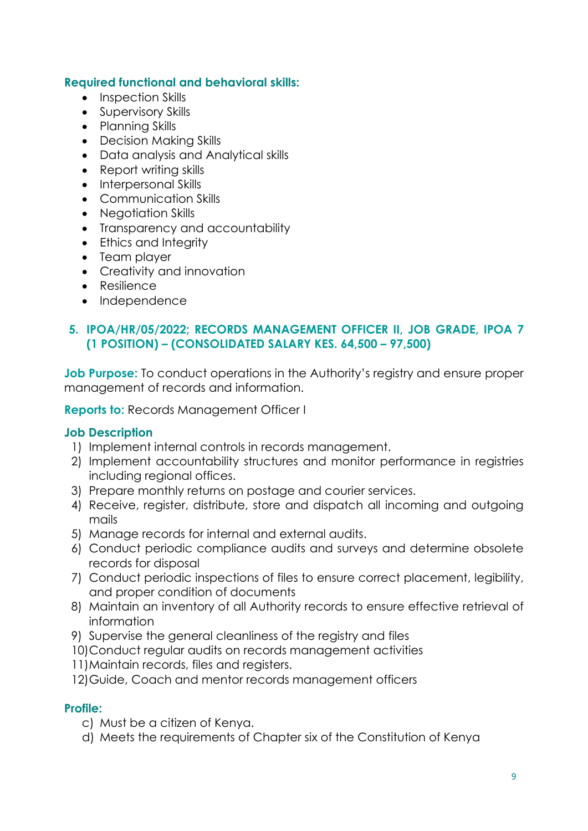## **Required functional and behavioral skills:**

- Inspection Skills
- Supervisory Skills
- Planning Skills
- Decision Making Skills
- Data analysis and Analytical skills
- Report writing skills
- Interpersonal Skills
- Communication Skills
- Negotiation Skills
- Transparency and accountability
- Ethics and Integrity
- Team player
- Creativity and innovation
- Resilience
- Independence

## **5. IPOA/HR/05/2022; RECORDS MANAGEMENT OFFICER II, JOB GRADE, IPOA 7 (1 POSITION) – (CONSOLIDATED SALARY KES. 64,500 – 97,500)**

**Job Purpose:** To conduct operations in the Authority's registry and ensure proper management of records and information.

**Reports to:** Records Management Officer I

## **Job Description**

- 1) Implement internal controls in records management.
- 2) Implement accountability structures and monitor performance in registries including regional offices.
- 3) Prepare monthly returns on postage and courier services.
- 4) Receive, register, distribute, store and dispatch all incoming and outgoing mails
- 5) Manage records for internal and external audits.
- 6) Conduct periodic compliance audits and surveys and determine obsolete records for disposal
- 7) Conduct periodic inspections of files to ensure correct placement, legibility, and proper condition of documents
- 8) Maintain an inventory of all Authority records to ensure effective retrieval of information
- 9) Supervise the general cleanliness of the registry and files
- 10)Conduct regular audits on records management activities
- 11)Maintain records, files and registers.

12)Guide, Coach and mentor records management officers

## **Profile:**

- c) Must be a citizen of Kenya.
- d) Meets the requirements of Chapter six of the Constitution of Kenya